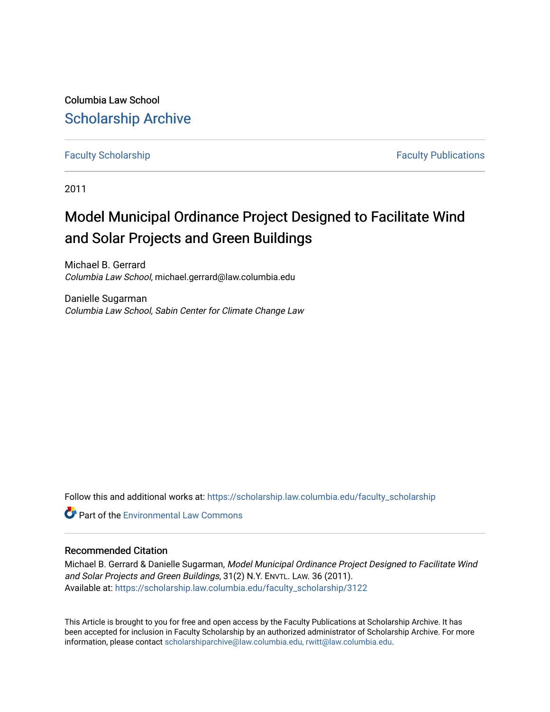Columbia Law School [Scholarship Archive](https://scholarship.law.columbia.edu/) 

[Faculty Scholarship](https://scholarship.law.columbia.edu/faculty_scholarship) **Faculty Scholarship Faculty Publications** 

2011

## Model Municipal Ordinance Project Designed to Facilitate Wind and Solar Projects and Green Buildings

Michael B. Gerrard Columbia Law School, michael.gerrard@law.columbia.edu

Danielle Sugarman Columbia Law School, Sabin Center for Climate Change Law

Follow this and additional works at: [https://scholarship.law.columbia.edu/faculty\\_scholarship](https://scholarship.law.columbia.edu/faculty_scholarship?utm_source=scholarship.law.columbia.edu%2Ffaculty_scholarship%2F3122&utm_medium=PDF&utm_campaign=PDFCoverPages)

**C** Part of the [Environmental Law Commons](http://network.bepress.com/hgg/discipline/599?utm_source=scholarship.law.columbia.edu%2Ffaculty_scholarship%2F3122&utm_medium=PDF&utm_campaign=PDFCoverPages)

## Recommended Citation

Michael B. Gerrard & Danielle Sugarman, Model Municipal Ordinance Project Designed to Facilitate Wind and Solar Projects and Green Buildings, 31(2) N.Y. ENVTL. LAW. 36 (2011). Available at: [https://scholarship.law.columbia.edu/faculty\\_scholarship/3122](https://scholarship.law.columbia.edu/faculty_scholarship/3122?utm_source=scholarship.law.columbia.edu%2Ffaculty_scholarship%2F3122&utm_medium=PDF&utm_campaign=PDFCoverPages)

This Article is brought to you for free and open access by the Faculty Publications at Scholarship Archive. It has been accepted for inclusion in Faculty Scholarship by an authorized administrator of Scholarship Archive. For more information, please contact [scholarshiparchive@law.columbia.edu, rwitt@law.columbia.edu](mailto:scholarshiparchive@law.columbia.edu,%20rwitt@law.columbia.edu).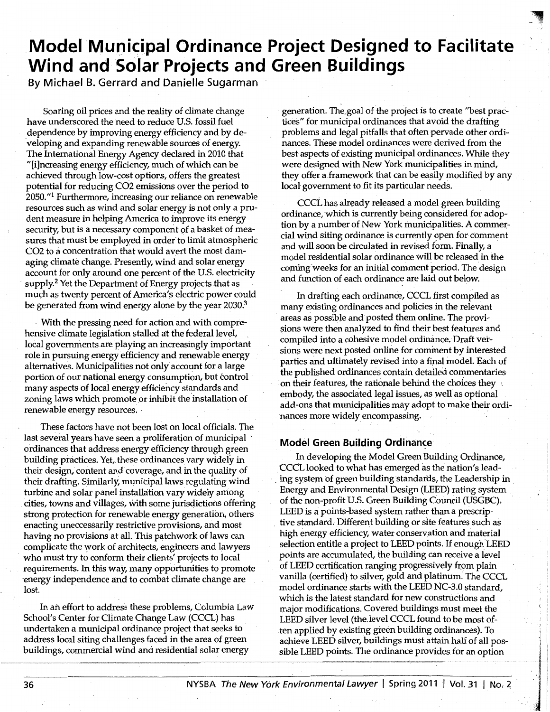# **Model 'Mupic;ipal Ordinance Project Designed to Facilitate Wind and Solar Projects and Green Buildings**

**By Michael B. Gerrard and Danielle Sugarman** 

Soaring oil prices and the reality of climate change have underscored the heed to reduce U.S. fossil fuel dependence by improving energy efficiency and by developing and expanding renewable sources of energy. The International Energy Agency declared in 2010 that "[i]ncreasing energy efficiency, much of which can be achieved through low-cost options, offers the greatest potential for reducing CO2 emissions over the period to 2050."1 Furthermore, increasing our reliance on renewable resources such as wind and solar energy is not only a prudent measure in helping America to improve its energy security, but is a necessary component of a basket of measures that must be employed in order to limit atmospheric CO2 to a concentration that would avert the most damaging climate change. Presently, wind and solar energy account for only around one percent of the U.S. electricity supply.<sup>2</sup> Yet the Department of Energy projects that as much as twenty percent of America's electric power could be generated from wind energy alone by the year 2030.<sup>3</sup>

With the pressing need for action and with comprehensive climate legislation stalled at the federal level, local governments are playing an increasingly important role in pursuing energy efficiency and renewable energy alternatives. Municipalities not only account for a large portion of our national energy consumption, but control many aspects of local energy efficiency standards and zoning laws which promote or inhibit the installation of renewable energy resources. ·

These factors have not been lost on local officials. The last several years have seen a proliferatjon of municipal ordinances that address energy efficiency through green building practices. Yet, these ordinances vary widely in their design, content and coverage, and in the quality of their drafting. Similarly, municipal laws regulating wind turbine and solar panel installation vary widely among cities, towns and villages, with some jurisdictions offering strong protection for renewable energy generation, others enacting uneccessarily restrictive provisions, and most having no provisions at all. This patchwork of laws can complicate the work of architects, engineers and lawyers who must try to conform their clients' projects to local requirements. In this way, many opportunities to promote ·energy independence and to combat climate change are lost.

In an effort to address these problems, Columbia Law School's Center for Climate Change Law (CCCL) has undertaken a municipal ordinance project that seeks to · address local siting challenges faced in the area of green buildings, commercial wind and residential solar energy

generation. The\_goal of the project is to create "best practices" for municipal ordinances that avoid the drafting problems and legal pitfalls that often pervade other ordinances. These model ordinances were derived from the best aspects of existing municipal ordinances. While they were designed with New York municipalities in mind, they offer a framework that can be easily modified by any local government to fit its particular needs.

 $\blacksquare$ .'.: ; - ·,.\_, .

CCCL has already released a model green building ordinance, which is currently being considered for adoption by a number of New York municipalities. A commercial wind siting ordinance is currently open for comment and will soon be circulated in revised form. Finally, a model residential solar ordinance will be released in the coming weeks for an initial comment period. The design and function of each ordinance are laid out below.

In drafting each ordinance, CCCL first compiled as many existing ordinances and policies in the relevant areas as possible and posted them online. The provisions were then analyzed to find their best features and compiled into a cohesive model ordinance. Draft versions were next posted online for comment by interested parties and ultimately revised into a final model. Each of the published ordinances contain detailed commentaries on their features, the rationale behind the choices they , embody, the associated legal issues, as well as optional add~ons that municipalities may adopt to make their ordinances more widely encompassing. ·

## **Model Green Building Ordinance**

In developing the Model Green Building Ordinance, CCCL looked to what has emerged as the nation's lead- . ing system of green building standards, the Leadership in . Energy and Environmental Design (LEED) rating system of the non-profit U.S. Green Building Council (USGBC). LEED is a points-based system rather than a prescrip-. tive standard. Different building or slte features such as high energy efficiency, water conservation and material selection entitle a project to LEED points. If enough LEED points are accumulated, the building can receive a ievel of LEED certification ranging progressively from plain vanilla (certified) to silver, gold and platinum: The CCCL model ordinance starts with the LEED NC-3.0 standard, which is the latest standard for new constructions and major modifications. Covered buildings must meet the LEED silver level (the.level CCCL found to be most often applied by existing green building ordinances). To aahieve LEED silver, buildings must attain half of all possible LEED points. The ordinance provides for an option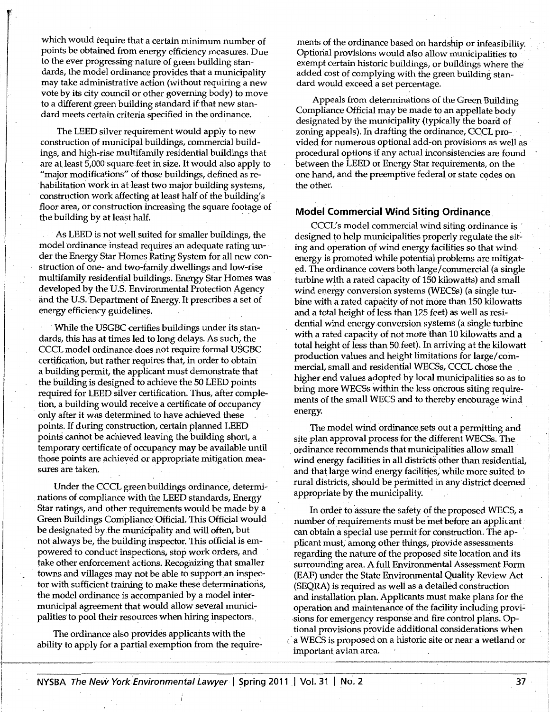which would require that a certain minimum number of points be obtained from energy efficiency measures. Due to the ever progressing nature of green building standards, the model ordinance provides that a municipality may take administrative action (without requiring a new vote by its city council or other governing body) to move to a different green building standard if that new standard meets certain criteria specified in the ordinance.

The LEED silver requirement would apply to new construction of municipal buildings, commercial buildings, and high-rise multifamily residential buildings that are at.least 5,000 square feet in size. It would also apply to "major modifications" of those buildings, defined as rehabilitation work in at least two major building systems, construction workaffecting at least half of the building's floor area, or construction increasing the square footage of the building by at least half.

As LEED is not well suited for smaller buildings, the model ordinance instead requires an adequate rating un- • der the Energy Star Homes Rating System for all new construction of one- and two-family dwellings and low-rise multifamily residential buildings. Energy Star Homes was developed by the U.S. Environmental Protection Agency and the U.S. Department of Energy. It prescribes a set of energy efficiency guidelines.

While the USGBC certifies buildings under its standards, this has at times led to long delays. As such, the CCCL model ordinance does not require formal USGBC certjfication, but rather requires that, in order to obtain a building permit, the applicant must demonstrate that the building is designed to achieve the 50 LEED points required for LEED silver certification. Thus, after completion, a building would receive a certificate of occupancy only after it was determined to have achieved these points. If during construction, certain planned LEED points cannot be achieved leaving the building short, a temporary certificate of occupancy may be available until those points are achieved or appropriate mitigation mea- · sures are taken.

Under the CCCL green buildings ordinance, determinations of compliance with the LEED standards, Energy Star ratings, and other requirements would be made by a Green Buildings Compliance Official. This Official would be designated by the municipality and will often, but not always be, the building inspector. This official is empowered to conduct inspections, stop work orders, and take other enforcement actions. Recognizing that smaller towns and villages may not be able to support an inspector with sufficient training to make these determinations, the model ordinance is accompanied by a model intermunicipal agreement that would allow several municipalities to pool their resources when hiring inspectors.

The ordinance also provides applicants with the ability to apply for a partial exemption from the requirements of the ordinance based on hardship or infeasibility. Optional provisions would also allow municipalities to · exempt certain historic buildings, or buildings where the added cost of complying with the green building standard would exceed a set percentage.

Appeals from determinations of the Green Building Compliance Official may be made to an appellate body designated by the municipality (typically the board of zoning appeals). In drafting the ordinance, CCCL provided for numerous optional add-on provisions as well as procedural options if any actual inconsistencies are found between the LEED or Energy Star requirements, on the one hand, and the preemptive federal or state codes on the other.

#### **Model Commercial Wind Siting Ordinance**

CCCL's model commercial wind siting ordinance is designed to help municipalities properly regulate the siting and operation of wind energy facilities so that wind energy is promoted while potential problems are mitigated. The ordinance covers both large/ commercial (a single turbine with a rated capacity of 150 kilowatts) and small wind energy conversion systems (WECSs) (a single turbine with a rated capacity of not more than 150 kilowatts and a total height of less than 125 feet) as well as residential wind energy conversion systems (a single turbine with a rated capacity of not more than 10 kilowatts and a total height of less than 50 feet). In arriving at the kilowatt production values and height limitations for large/ commercial, small and residential WECSs, CCCL chose the . higher end values adopted by local municipalities so as to bring more WECSs within the less onerous siting requirements of the small WECS and to thereby encburage wind energy.

The model wind ordinance.sets out a permitting and site plan approval process for the different WECSs. The. . ordinance recommends that municipalities allow small wind energy facilities in all districts other than residential, and that large wind energy facilities, while more suited to rural districts, should be permitted in any district deemed appropriate by the municipality.

In order to assure the safety of the proposed WECS, a number of requirements must be met before an applicant can obtain a special use permit for construction. The applicant must; among other things, provide assessments regarding the nature of the proposed site location and its surrounding area. A full Environmental Assessment Form (EAF) under the State Environmental Quality Review Act (SEQRA) is required as well as a detailed construction and installation plan. Applicants must make plans for the operation and maintenance of the facility including provisions for emergency response and fire control plans. Optional provisions provide additional considerations when a WECS is proposed on a historic site or near a wetland or important avian area.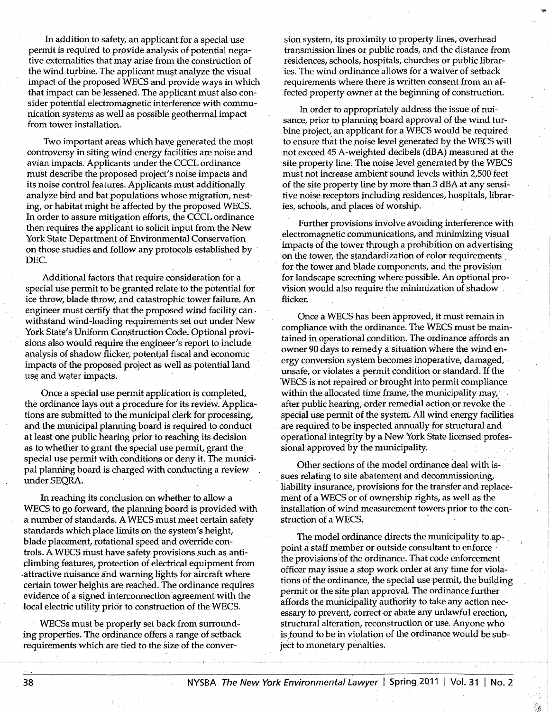In addition to safety, an applicant for a special use permit is required to provide analysis of potential negative externalities that may arise from the construction of the wind turbine. The applicant must analyze the visual impact of the proposed WECS and provide ways in which that impact can be lessened. The applicant must also consider potential electromagnetic interference with communication systems as well as possible geothermal impact from tower installation.

Two important areas which have generated the most controversy in siting wind energy facilities are noise and avian impacts. Applicants under the CCCL ordinance must describe the proposed project's noise impacts and its noise control features. Applicants must additionally analyze bird and bat populations whose migration, nesting, or habitat might be affected by the proposed WECS. In order to assure mitigation efforts; the CCCL ordinance then requires the applicant to solicit input from the New York State Department of Environmental Conservation on those studies and follow any protocols established by · DEC.

Additional factors that require consideration for a special use permit to be granted relate to the potential for ice throw, blade throw, and catastrophic tower failure, An engineer must certify that the proposed wind facility can . withstand wind-loading requirements set out under New York State's Uniform Construction Code. Optional provisions also would require the engineer's report to include analysis of shadow flicker, potential fiscal and economic impacts of the proposed project as well as potential land use and water impacts.

Once a special use permit application is completed, the ordinance lays out a procedure for its review. Applications are submitted to the municipal clerk for processing, and the municipal planning board is required to conduct at least one public hearing prior to reaching its decision as to whether to grant the special use permit, grant the special use permit with conditions or deny it. The municipal planning board is charged With conducting a review under SEQRA.

In reaching its conclusion on whether to allow a WECS to go forward, the planning board is provided with a number of standards. A WECS must meet certain safety standards which place limits on the system's height, blade placement, rotational speed and override controls. A WECS must have safety provisions such as anticlimbing features, protection of electrical equipment from attractive nuisance and warning lights for aircraft where certain tower heights are reached. The ordinance requires· evidence of a signed interconnection agreement with the local electric utility prior to construction of the WECS.

WECSs must be properly set back from surrounding properties. The ordinance offers a range of setback requirements which are tied to the size of the conver-

sion system, its proximity to property lines, overhead transmission lines or public roads, and the distance from residences, schools, hospitals, churches or public libraries. The wind ordinance allows for a waiver of setback requirements where there is written consent from an affected property owner at the beginning of construction.

In order to appropriately address the issue of nuisance, prior to planning board approval of the wind turbine project, an applicant for a WECS would be required to ensure that the noise level generated by the WECS will not exceed 45 A~weighted decibels (dBA) measured at the site property line. The noise level generated by the WECS must not increase ambient sound levels within 2,500 feet of the site property line by more than 3 dBA at any sensitive noise receptors including residences, hospitals, libraries, schools, and places of worship.

Further provisions involve avoiding interference with electromagnetic communications, and minimizing visual impacts of the tower through a prohibition on advertising on the tower, the standardization of color requirements . for the fower and blade components, and the provision for landscape screening where possible. An optional provision would also require the minimization of shadow . flicker.

Once a WECS has been approved, it must remain in compliance with the ordinance. The WECS must be maintained in operational condition. The ordinance affords an owner 90 days to remedy a situation where the wind energy conversion system becomes inoperative, damaged, unsafe, or violates a permit condition or standard. If the WECS is not repaired or brought into permit compliance within the allocated time frame, the municipality may, after public hearing, order remedial action or revoke the special use permit of the system. All wind energy facilities are required to be inspected annually for structural and operational integrity by a New York State licensed professional approved by the municipality.

Other sections of the model ordinance deal with issues relating to site abatement and decommissioning, liability insurance, provisions for the transfer and replacement of a WECS or of ownership rights, as well as the installation of wind measurement towers prior to the construction of a WECS.

The model ordinance directs the municipality to appoint a staff member or outside consultant to enforce the provisions of the ordinance. That code enforcement officer may issue a stop work order at any time for violations of the ordinance, the special use permit, the building permit or the site plan approval. The ordinance further affords the municipality authority to take any action necessary to prevent, correct or abate any unlawful erection, structural alteration, reconstruction or use. Anyone who is found to be in violation of the ordinance would be subject to monetary penalties.